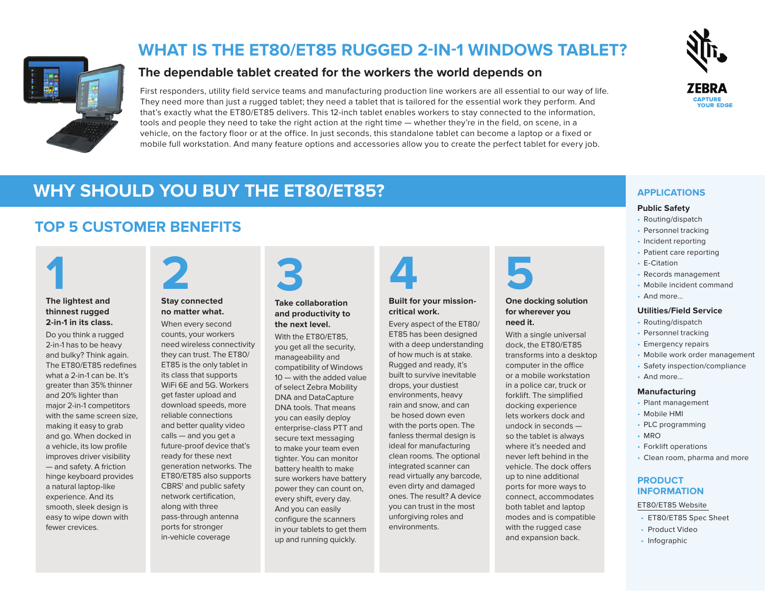

## **WHAT IS THE ET80/ET85 RUGGED 2-IN-1 WINDOWS TABLET?**

### **The dependable tablet created for the workers the world depends on**

First responders, utility field service teams and manufacturing production line workers are all essential to our way of life. They need more than just a rugged tablet; they need a tablet that is tailored for the essential work they perform. And that's exactly what the ET80/ET85 delivers. This 12-inch tablet enables workers to stay connected to the information, tools and people they need to take the right action at the right time — whether they're in the field, on scene, in a vehicle, on the factory floor or at the office. In just seconds, this standalone tablet can become a laptop or a fixed or mobile full workstation. And many feature options and accessories allow you to create the perfect tablet for every job.



## **WHY SHOULD YOU BUY THE ET80/ET85?** *APPLICATIONS*

## **TOP 5 CUSTOMER BENEFITS**



#### **The lightest and thinnest rugged 2-in-1 in its class.**

Do you think a rugged 2-in-1 has to be heavy and bulky? Think again. The ET80/ET85 redefines what a 2-in-1 can be. It's greater than 35% thinner and 20% lighter than major 2-in-1 competitors with the same screen size, making it easy to grab and go. When docked in a vehicle, its low profile improves driver visibility — and safety. A friction hinge keyboard provides a natural laptop-like experience. And its smooth, sleek design is easy to wipe down with fewer crevices.



#### **Stay connected no matter what.**

When every second counts, your workers need wireless connectivity they can trust. The ET80/ ET85 is the only tablet in its class that supports WiFi 6E and 5G. Workers get faster upload and download speeds, more reliable connections and better quality video calls — and you get a future-proof device that's ready for these next generation networks. The ET80/ET85 also supports CBRS<sup>1</sup> and public safety network certification, along with three pass-through antenna ports for stronger in-vehicle coverage



#### **Take collaboration and productivity to the next level.**

With the ET80/ET85. you get all the security, manageability and compatibility of Windows 10 — with the added value of select Zebra Mobility DNA and DataCapture DNA tools. That means you can easily deploy enterprise-class PTT and secure text messaging to make your team even tighter. You can monitor battery health to make sure workers have battery power they can count on, every shift, every day. And you can easily configure the scanners in your tablets to get them up and running quickly.

# **4**

#### **Built for your missioncritical work.**

Every aspect of the ET80/ ET85 has been designed with a deep understanding of how much is at stake. Rugged and ready, it's built to survive inevitable drops, your dustiest environments, heavy rain and snow, and can be hosed down even with the ports open. The fanless thermal design is ideal for manufacturing clean rooms. The optional integrated scanner can read virtually any barcode, even dirty and damaged ones. The result? A device you can trust in the most unforgiving roles and environments.



#### **One docking solution for wherever you need it.**

With a single universal dock, the ET80/ET85 transforms into a desktop computer in the office or a mobile workstation in a police car, truck or forklift. The simplified docking experience lets workers dock and undock in seconds so the tablet is always where it's needed and never left behind in the vehicle. The dock offers up to nine additional ports for more ways to connect, accommodates both tablet and laptop modes and is compatible with the rugged case and expansion back.

#### **Public Safety**

- Routing/dispatch
- Personnel tracking
- Incident reporting
- Patient care reporting
- E-Citation
- Records management
- Mobile incident command
- And more...

#### **Utilities/Field Service**

- Routing/dispatch
- Personnel tracking
- Emergency repairs
- Mobile work order management
- Safety inspection/compliance
- And more...

#### **Manufacturing**

- Plant management
- Mobile HMI
- PLC programming
- MRO
- Forklift operations
- Clean room, pharma and more

#### **PRODUCT INFORMATION**

#### ET80/ET85 [Website](http://www.zebra.com/et8x-series)

- ET80/ET85 Spec Sheet
- Product Video
- Infographic